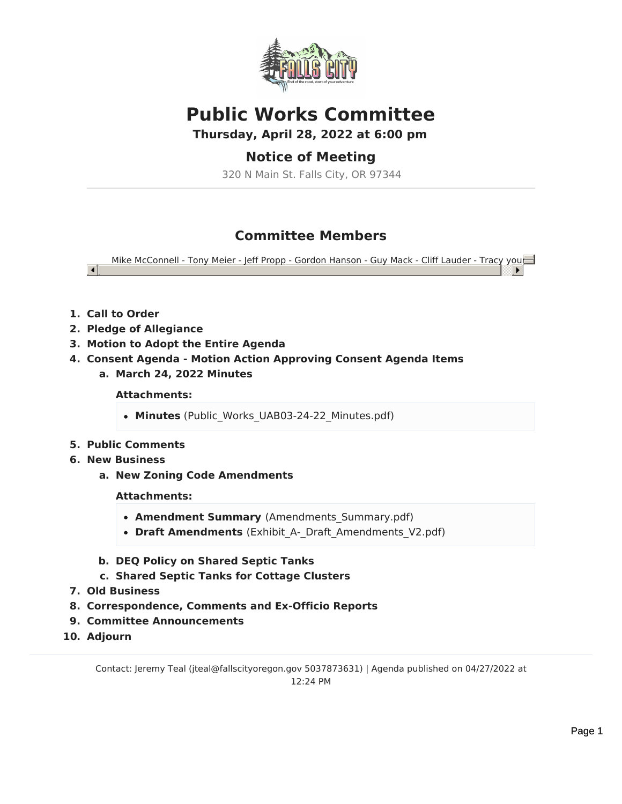

# **Public Works Committee**

**Thursday, April 28, 2022 at 6:00 pm**

# **Notice of Meeting**

320 N Main St. Falls City, OR 97344

# **Committee Members**

Mike McConnell - Tony Meier - Jeff Propp - Gordon Hanson - Guy Mack - Cliff Lauder - Tracy young

**1. Call to Order**

 $\blacksquare$ 

- **2. Pledge of Allegiance**
- **3. Motion to Adopt the Entire Agenda**
- **4. Consent Agenda - Motion Action Approving Consent Agenda Items**
	- **a. March 24, 2022 Minutes**

**Attachments:**

- Minutes (Public Works UAB03-24-22 Minutes.pdf)
- **5. Public Comments**
- **6. New Business**
	- **a. New Zoning Code Amendments**

# **Attachments:**

- **Amendment Summary** (Amendments\_Summary.pdf)
- Draft Amendments (Exhibit A- Draft Amendments V2.pdf)
- **b. DEQ Policy on Shared Septic Tanks**
- **c. Shared Septic Tanks for Cottage Clusters**
- **7. Old Business**
- **8. Correspondence, Comments and Ex-Officio Reports**
- **9. Committee Announcements**
- **10. Adjourn**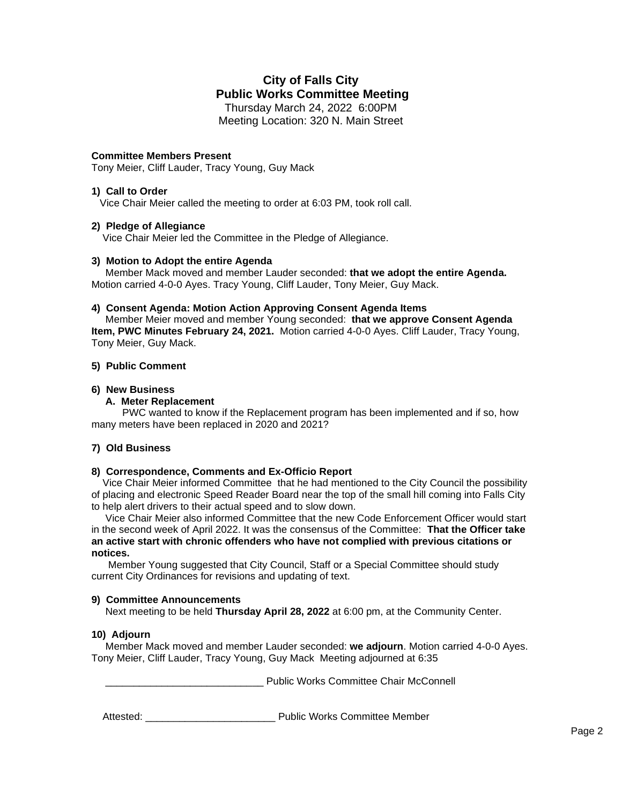# **City of Falls City Public Works Committee Meeting**

Thursday March 24, 2022 6:00PM Meeting Location: 320 N. Main Street

#### **Committee Members Present**

Tony Meier, Cliff Lauder, Tracy Young, Guy Mack

#### **1) Call to Order**

Vice Chair Meier called the meeting to order at 6:03 PM, took roll call.

#### **2) Pledge of Allegiance**

Vice Chair Meier led the Committee in the Pledge of Allegiance.

#### **3) Motion to Adopt the entire Agenda**

 Member Mack moved and member Lauder seconded: **that we adopt the entire Agenda.** Motion carried 4-0-0 Ayes. Tracy Young, Cliff Lauder, Tony Meier, Guy Mack.

#### **4) Consent Agenda: Motion Action Approving Consent Agenda Items**

 Member Meier moved and member Young seconded: **that we approve Consent Agenda Item, PWC Minutes February 24, 2021.** Motion carried 4-0-0 Ayes. Cliff Lauder, Tracy Young, Tony Meier, Guy Mack.

#### **5) Public Comment**

#### **6) New Business**

#### **A. Meter Replacement**

 PWC wanted to know if the Replacement program has been implemented and if so, how many meters have been replaced in 2020 and 2021?

#### **7) Old Business**

#### **8) Correspondence, Comments and Ex-Officio Report**

Vice Chair Meier informed Committee that he had mentioned to the City Council the possibility of placing and electronic Speed Reader Board near the top of the small hill coming into Falls City to help alert drivers to their actual speed and to slow down.

 Vice Chair Meier also informed Committee that the new Code Enforcement Officer would start in the second week of April 2022. It was the consensus of the Committee: **That the Officer take an active start with chronic offenders who have not complied with previous citations or notices.**

 Member Young suggested that City Council, Staff or a Special Committee should study current City Ordinances for revisions and updating of text.

#### **9) Committee Announcements**

Next meeting to be held **Thursday April 28, 2022** at 6:00 pm, at the Community Center.

#### **10) Adjourn**

 Member Mack moved and member Lauder seconded: **we adjourn**. Motion carried 4-0-0 Ayes. Tony Meier, Cliff Lauder, Tracy Young, Guy Mack Meeting adjourned at 6:35

Public Works Committee Chair McConnell

Attested: \_\_\_\_\_\_\_\_\_\_\_\_\_\_\_\_\_\_\_\_\_\_\_ Public Works Committee Member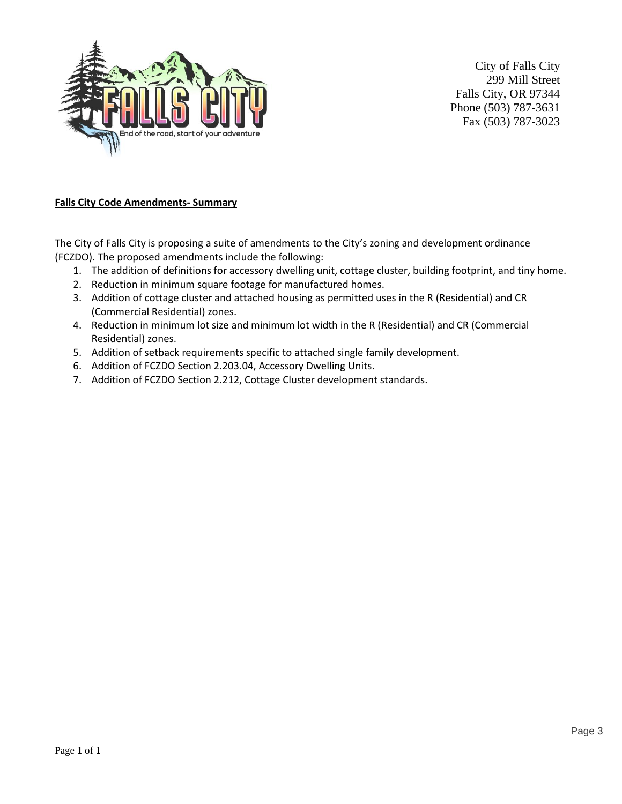

City of Falls City 299 Mill Street Falls City, OR 97344 Phone (503) 787-3631 Fax (503) 787-3023

# **Falls City Code Amendments- Summary**

The City of Falls City is proposing a suite of amendments to the City's zoning and development ordinance (FCZDO). The proposed amendments include the following:

- 1. The addition of definitions for accessory dwelling unit, cottage cluster, building footprint, and tiny home.
- 2. Reduction in minimum square footage for manufactured homes.
- 3. Addition of cottage cluster and attached housing as permitted uses in the R (Residential) and CR (Commercial Residential) zones.
- 4. Reduction in minimum lot size and minimum lot width in the R (Residential) and CR (Commercial Residential) zones.
- 5. Addition of setback requirements specific to attached single family development.
- 6. Addition of FCZDO Section 2.203.04, Accessory Dwelling Units.
- 7. Addition of FCZDO Section 2.212, Cottage Cluster development standards.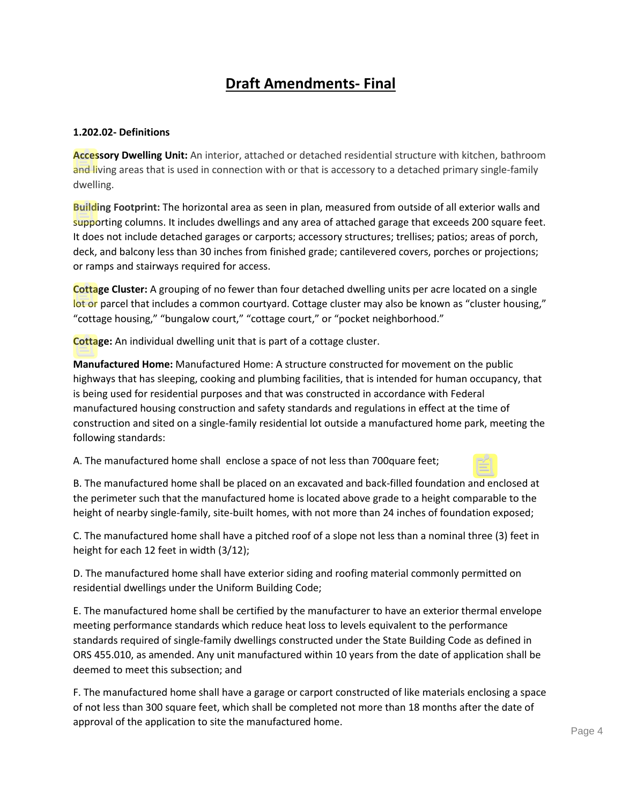# **Draft Amendments- Final**

# **1.202.02- Definitions**

**Accessory Dwelling Unit:** An interior, attached or detached residential structure with kitchen, bathroom and living areas that is used in connection with or that is accessory to a detached primary single-family dwelling.

**Building Footprint:** The horizontal area as seen in plan, measured from outside of all exterior walls and supporting columns. It includes dwellings and any area of attached garage that exceeds 200 square feet. It does not include detached garages or carports; accessory structures; trellises; patios; areas of porch, deck, and balcony less than 30 inches from finished grade; cantilevered covers, porches or projections; or ramps and stairways required for access.

**Cottage Cluster:** A grouping of no fewer than four detached dwelling units per acre located on a single lot or parcel that includes a common courtyard. Cottage cluster may also be known as "cluster housing," "cottage housing," "bungalow court," "cottage court," or "pocket neighborhood."

**Cottage:** An individual dwelling unit that is part of a cottage cluster.

**Manufactured Home:** Manufactured Home: A structure constructed for movement on the public highways that has sleeping, cooking and plumbing facilities, that is intended for human occupancy, that is being used for residential purposes and that was constructed in accordance with Federal manufactured housing construction and safety standards and regulations in effect at the time of construction and sited on a single-family residential lot outside a manufactured home park, meeting the following standards:

A. The manufactured home shall enclose a space of not less than 700quare feet;

B. The manufactured home shall be placed on an excavated and back-filled foundation and enclosed at the perimeter such that the manufactured home is located above grade to a height comparable to the height of nearby single-family, site-built homes, with not more than 24 inches of foundation exposed;

C. The manufactured home shall have a pitched roof of a slope not less than a nominal three (3) feet in height for each 12 feet in width (3/12);

D. The manufactured home shall have exterior siding and roofing material commonly permitted on residential dwellings under the Uniform Building Code;

E. The manufactured home shall be certified by the manufacturer to have an exterior thermal envelope meeting performance standards which reduce heat loss to levels equivalent to the performance standards required of single-family dwellings constructed under the State Building Code as defined in ORS 455.010, as amended. Any unit manufactured within 10 years from the date of application shall be deemed to meet this subsection; and

F. The manufactured home shall have a garage or carport constructed of like materials enclosing a space of not less than 300 square feet, which shall be completed not more than 18 months after the date of approval of the application to site the manufactured home.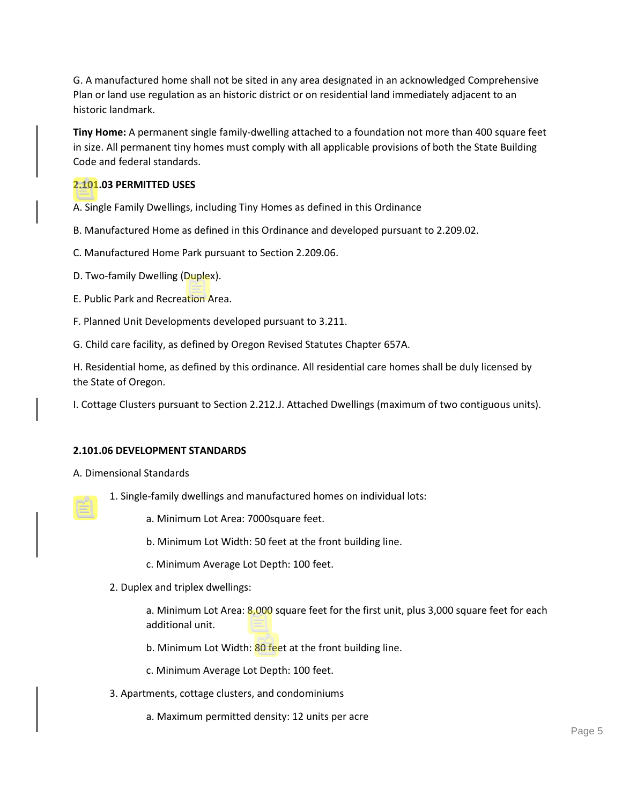G. A manufactured home shall not be sited in any area designated in an acknowledged Comprehensive Plan or land use regulation as an historic district or on residential land immediately adjacent to an historic landmark.

**Tiny Home:** A permanent single family-dwelling attached to a foundation not more than 400 square feet in size. All permanent tiny homes must comply with all applicable provisions of both the State Building Code and federal standards.

# **2.101.03 PERMITTED USES**

A. Single Family Dwellings, including Tiny Homes as defined in this Ordinance

B. Manufactured Home as defined in this Ordinance and developed pursuant to 2.209.02.

C. Manufactured Home Park pursuant to Section 2.209.06.

- D. Two-family Dwelling (Duplex).
- E. Public Park and Recreation Area.
- F. Planned Unit Developments developed pursuant to 3.211.
- G. Child care facility, as defined by Oregon Revised Statutes Chapter 657A.

H. Residential home, as defined by this ordinance. All residential care homes shall be duly licensed by the State of Oregon.

I. Cottage Clusters pursuant to Section 2.212.J. Attached Dwellings (maximum of two contiguous units).

#### **2.101.06 DEVELOPMENT STANDARDS**

- A. Dimensional Standards
	- 1. Single-family dwellings and manufactured homes on individual lots:
		- a. Minimum Lot Area: 7000square feet.
		- b. Minimum Lot Width: 50 feet at the front building line.
		- c. Minimum Average Lot Depth: 100 feet.
	- 2. Duplex and triplex dwellings:

a. Minimum Lot Area: 8,000 square feet for the first unit, plus 3,000 square feet for each additional unit.

b. Minimum Lot Width: 80 feet at the front building line.

c. Minimum Average Lot Depth: 100 feet.

- 3. Apartments, cottage clusters, and condominiums
	- a. Maximum permitted density: 12 units per acre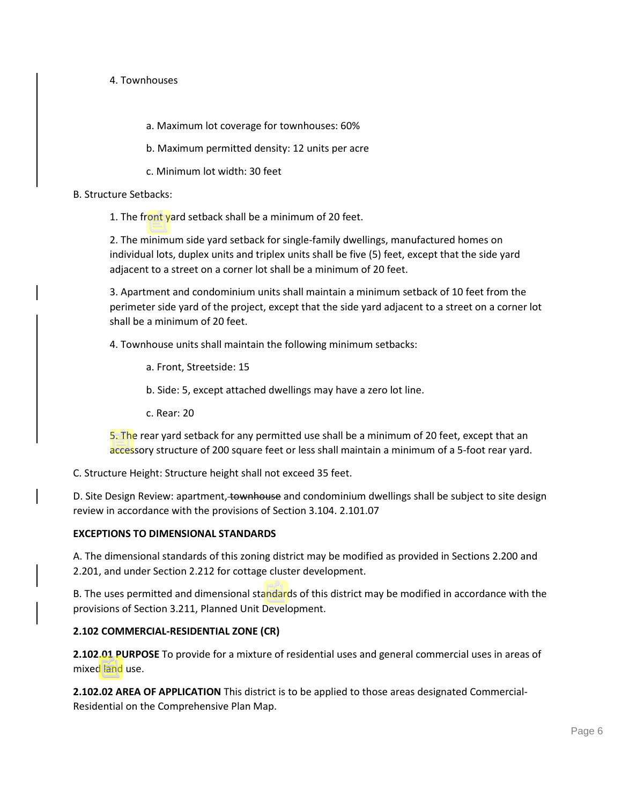# 4. Townhouses

a. Maximum lot coverage for townhouses: 60%

b. Maximum permitted density: 12 units per acre

c. Minimum lot width: 30 feet

#### B. Structure Setbacks:

1. The front yard setback shall be a minimum of 20 feet.

2. The minimum side yard setback for single-family dwellings, manufactured homes on individual lots, duplex units and triplex units shall be five (5) feet, except that the side yard adjacent to a street on a corner lot shall be a minimum of 20 feet.

3. Apartment and condominium units shall maintain a minimum setback of 10 feet from the perimeter side yard of the project, except that the side yard adjacent to a street on a corner lot shall be a minimum of 20 feet.

4. Townhouse units shall maintain the following minimum setbacks:

a. Front, Streetside: 15

b. Side: 5, except attached dwellings may have a zero lot line.

c. Rear: 20

5. The rear yard setback for any permitted use shall be a minimum of 20 feet, except that an accessory structure of 200 square feet or less shall maintain a minimum of a 5-foot rear yard.

C. Structure Height: Structure height shall not exceed 35 feet.

D. Site Design Review: apartment, townhouse and condominium dwellings shall be subject to site design review in accordance with the provisions of Section 3.104. 2.101.07

# **EXCEPTIONS TO DIMENSIONAL STANDARDS**

A. The dimensional standards of this zoning district may be modified as provided in Sections 2.200 and 2.201, and under Section 2.212 for cottage cluster development.

B. The uses permitted and dimensional standards of this district may be modified in accordance with the provisions of Section 3.211, Planned Unit Development.

# **2.102 COMMERCIAL-RESIDENTIAL ZONE (CR)**

**2.102.01 PURPOSE** To provide for a mixture of residential uses and general commercial uses in areas of mixed land use.

**2.102.02 AREA OF APPLICATION** This district is to be applied to those areas designated Commercial-Residential on the Comprehensive Plan Map.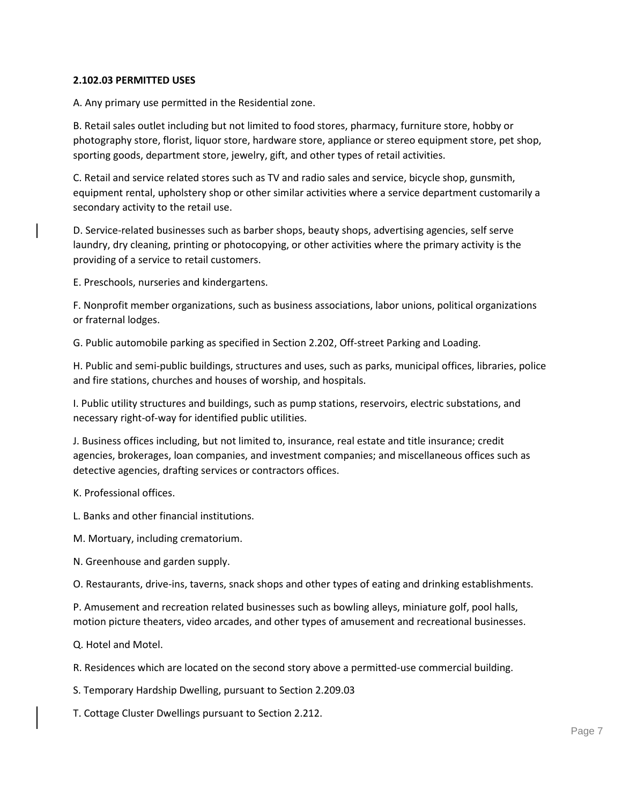#### **2.102.03 PERMITTED USES**

A. Any primary use permitted in the Residential zone.

B. Retail sales outlet including but not limited to food stores, pharmacy, furniture store, hobby or photography store, florist, liquor store, hardware store, appliance or stereo equipment store, pet shop, sporting goods, department store, jewelry, gift, and other types of retail activities.

C. Retail and service related stores such as TV and radio sales and service, bicycle shop, gunsmith, equipment rental, upholstery shop or other similar activities where a service department customarily a secondary activity to the retail use.

D. Service-related businesses such as barber shops, beauty shops, advertising agencies, self serve laundry, dry cleaning, printing or photocopying, or other activities where the primary activity is the providing of a service to retail customers.

E. Preschools, nurseries and kindergartens.

F. Nonprofit member organizations, such as business associations, labor unions, political organizations or fraternal lodges.

G. Public automobile parking as specified in Section 2.202, Off-street Parking and Loading.

H. Public and semi-public buildings, structures and uses, such as parks, municipal offices, libraries, police and fire stations, churches and houses of worship, and hospitals.

I. Public utility structures and buildings, such as pump stations, reservoirs, electric substations, and necessary right-of-way for identified public utilities.

J. Business offices including, but not limited to, insurance, real estate and title insurance; credit agencies, brokerages, loan companies, and investment companies; and miscellaneous offices such as detective agencies, drafting services or contractors offices.

K. Professional offices.

L. Banks and other financial institutions.

M. Mortuary, including crematorium.

N. Greenhouse and garden supply.

O. Restaurants, drive-ins, taverns, snack shops and other types of eating and drinking establishments.

P. Amusement and recreation related businesses such as bowling alleys, miniature golf, pool halls, motion picture theaters, video arcades, and other types of amusement and recreational businesses.

Q. Hotel and Motel.

R. Residences which are located on the second story above a permitted-use commercial building.

S. Temporary Hardship Dwelling, pursuant to Section 2.209.03

T. Cottage Cluster Dwellings pursuant to Section 2.212.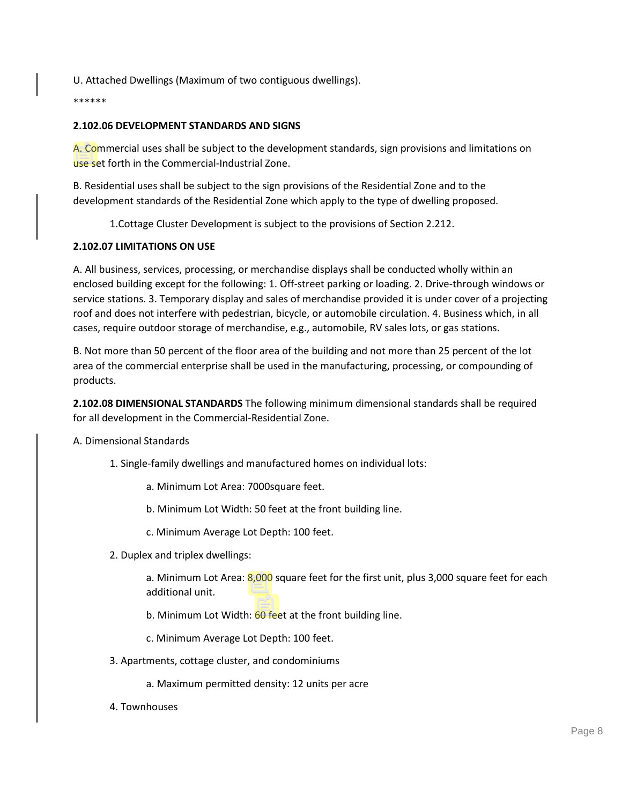U. Attached Dwellings (Maximum of two contiguous dwellings).

\*\*\*\*\*\*

# **2.102.06 DEVELOPMENT STANDARDS AND SIGNS**

A. Commercial uses shall be subject to the development standards, sign provisions and limitations on use set forth in the Commercial-Industrial Zone.

B. Residential uses shall be subject to the sign provisions of the Residential Zone and to the development standards of the Residential Zone which apply to the type of dwelling proposed.

1.Cottage Cluster Development is subject to the provisions of Section 2.212.

# **2.102.07 LIMITATIONS ON USE**

A. All business, services, processing, or merchandise displays shall be conducted wholly within an enclosed building except for the following: 1. Off-street parking or loading. 2. Drive-through windows or service stations. 3. Temporary display and sales of merchandise provided it is under cover of a projecting roof and does not interfere with pedestrian, bicycle, or automobile circulation. 4. Business which, in all cases, require outdoor storage of merchandise, e.g., automobile, RV sales lots, or gas stations.

B. Not more than 50 percent of the floor area of the building and not more than 25 percent of the lot area of the commercial enterprise shall be used in the manufacturing, processing, or compounding of products.

**2.102.08 DIMENSIONAL STANDARDS** The following minimum dimensional standards shall be required for all development in the Commercial-Residential Zone.

A. Dimensional Standards

- 1. Single-family dwellings and manufactured homes on individual lots:
	- a. Minimum Lot Area: 7000square feet.
	- b. Minimum Lot Width: 50 feet at the front building line.
	- c. Minimum Average Lot Depth: 100 feet.
- 2. Duplex and triplex dwellings:

a. Minimum Lot Area: 8,000 square feet for the first unit, plus 3,000 square feet for each additional unit.

- b. Minimum Lot Width: 60 feet at the front building line.
- c. Minimum Average Lot Depth: 100 feet.
- 3. Apartments, cottage cluster, and condominiums
	- a. Maximum permitted density: 12 units per acre
- 4. Townhouses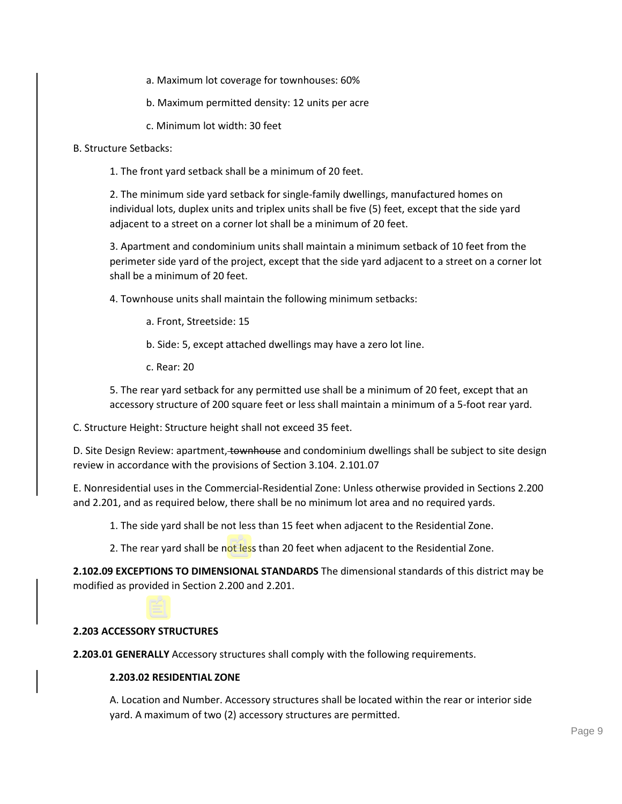a. Maximum lot coverage for townhouses: 60%

b. Maximum permitted density: 12 units per acre

c. Minimum lot width: 30 feet

B. Structure Setbacks:

1. The front yard setback shall be a minimum of 20 feet.

2. The minimum side yard setback for single-family dwellings, manufactured homes on individual lots, duplex units and triplex units shall be five (5) feet, except that the side yard adjacent to a street on a corner lot shall be a minimum of 20 feet.

3. Apartment and condominium units shall maintain a minimum setback of 10 feet from the perimeter side yard of the project, except that the side yard adjacent to a street on a corner lot shall be a minimum of 20 feet.

4. Townhouse units shall maintain the following minimum setbacks:

a. Front, Streetside: 15

b. Side: 5, except attached dwellings may have a zero lot line.

c. Rear: 20

5. The rear yard setback for any permitted use shall be a minimum of 20 feet, except that an accessory structure of 200 square feet or less shall maintain a minimum of a 5-foot rear yard.

C. Structure Height: Structure height shall not exceed 35 feet.

D. Site Design Review: apartment, townhouse and condominium dwellings shall be subject to site design review in accordance with the provisions of Section 3.104. 2.101.07

E. Nonresidential uses in the Commercial-Residential Zone: Unless otherwise provided in Sections 2.200 and 2.201, and as required below, there shall be no minimum lot area and no required yards.

1. The side yard shall be not less than 15 feet when adjacent to the Residential Zone.

2. The rear yard shall be not less than 20 feet when adjacent to the Residential Zone.

**2.102.09 EXCEPTIONS TO DIMENSIONAL STANDARDS** The dimensional standards of this district may be modified as provided in Section 2.200 and 2.201.

# **2.203 ACCESSORY STRUCTURES**

**2.203.01 GENERALLY** Accessory structures shall comply with the following requirements.

#### **2.203.02 RESIDENTIAL ZONE**

A. Location and Number. Accessory structures shall be located within the rear or interior side yard. A maximum of two (2) accessory structures are permitted.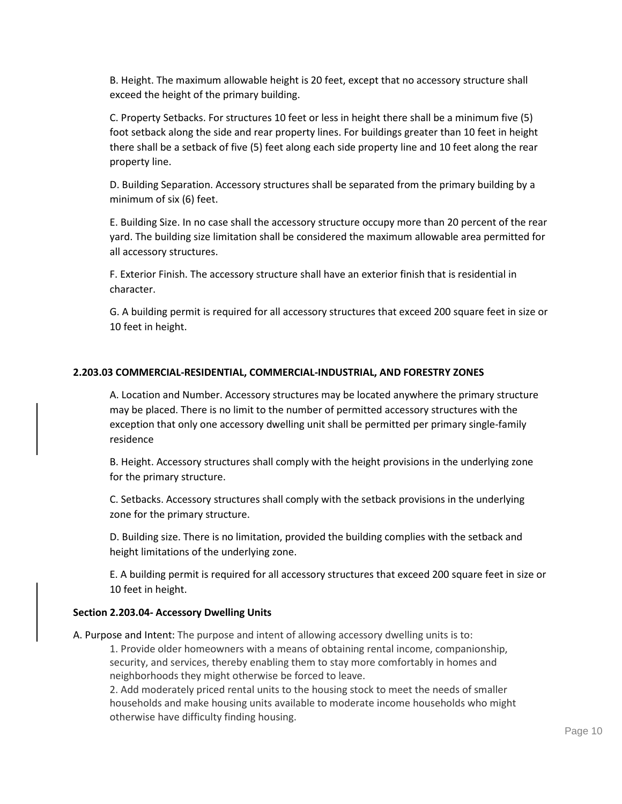B. Height. The maximum allowable height is 20 feet, except that no accessory structure shall exceed the height of the primary building.

C. Property Setbacks. For structures 10 feet or less in height there shall be a minimum five (5) foot setback along the side and rear property lines. For buildings greater than 10 feet in height there shall be a setback of five (5) feet along each side property line and 10 feet along the rear property line.

D. Building Separation. Accessory structures shall be separated from the primary building by a minimum of six (6) feet.

E. Building Size. In no case shall the accessory structure occupy more than 20 percent of the rear yard. The building size limitation shall be considered the maximum allowable area permitted for all accessory structures.

F. Exterior Finish. The accessory structure shall have an exterior finish that is residential in character.

G. A building permit is required for all accessory structures that exceed 200 square feet in size or 10 feet in height.

#### **2.203.03 COMMERCIAL-RESIDENTIAL, COMMERCIAL-INDUSTRIAL, AND FORESTRY ZONES**

A. Location and Number. Accessory structures may be located anywhere the primary structure may be placed. There is no limit to the number of permitted accessory structures with the exception that only one accessory dwelling unit shall be permitted per primary single-family residence

B. Height. Accessory structures shall comply with the height provisions in the underlying zone for the primary structure.

C. Setbacks. Accessory structures shall comply with the setback provisions in the underlying zone for the primary structure.

D. Building size. There is no limitation, provided the building complies with the setback and height limitations of the underlying zone.

E. A building permit is required for all accessory structures that exceed 200 square feet in size or 10 feet in height.

# **Section 2.203.04- Accessory Dwelling Units**

A. Purpose and Intent: The purpose and intent of allowing accessory dwelling units is to:

1. Provide older homeowners with a means of obtaining rental income, companionship, security, and services, thereby enabling them to stay more comfortably in homes and neighborhoods they might otherwise be forced to leave.

2. Add moderately priced rental units to the housing stock to meet the needs of smaller households and make housing units available to moderate income households who might otherwise have difficulty finding housing.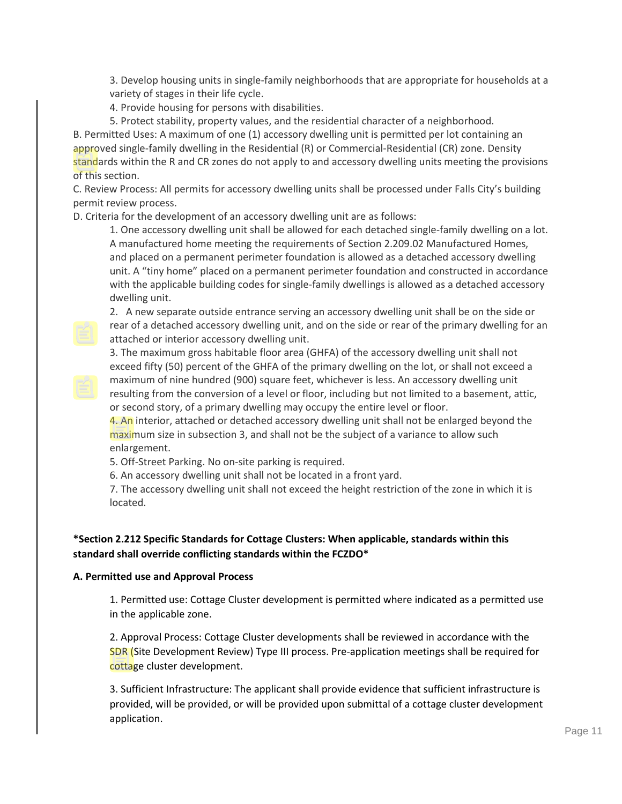3. Develop housing units in single-family neighborhoods that are appropriate for households at a variety of stages in their life cycle.

4. Provide housing for persons with disabilities.

5. Protect stability, property values, and the residential character of a neighborhood. B. Permitted Uses: A maximum of one (1) accessory dwelling unit is permitted per lot containing an approved single-family dwelling in the Residential (R) or Commercial-Residential (CR) zone. Density standards within the R and CR zones do not apply to and accessory dwelling units meeting the provisions of this section.

C. Review Process: All permits for accessory dwelling units shall be processed under Falls City's building permit review process.

D. Criteria for the development of an accessory dwelling unit are as follows:

1. One accessory dwelling unit shall be allowed for each detached single-family dwelling on a lot. A manufactured home meeting the requirements of Section 2.209.02 Manufactured Homes, and placed on a permanent perimeter foundation is allowed as a detached accessory dwelling unit. A "tiny home" placed on a permanent perimeter foundation and constructed in accordance with the applicable building codes for single-family dwellings is allowed as a detached accessory dwelling unit.

2. A new separate outside entrance serving an accessory dwelling unit shall be on the side or rear of a detached accessory dwelling unit, and on the side or rear of the primary dwelling for an attached or interior accessory dwelling unit.

3. The maximum gross habitable floor area (GHFA) of the accessory dwelling unit shall not exceed fifty (50) percent of the GHFA of the primary dwelling on the lot, or shall not exceed a maximum of nine hundred (900) square feet, whichever is less. An accessory dwelling unit resulting from the conversion of a level or floor, including but not limited to a basement, attic, or second story, of a primary dwelling may occupy the entire level or floor.

4. An interior, attached or detached accessory dwelling unit shall not be enlarged beyond the maximum size in subsection 3, and shall not be the subject of a variance to allow such enlargement.

5. Off-Street Parking. No on-site parking is required.

6. An accessory dwelling unit shall not be located in a front yard.

7. The accessory dwelling unit shall not exceed the height restriction of the zone in which it is located.

# **\*Section 2.212 Specific Standards for Cottage Clusters: When applicable, standards within this standard shall override conflicting standards within the FCZDO\***

# **A. Permitted use and Approval Process**

1. Permitted use: Cottage Cluster development is permitted where indicated as a permitted use in the applicable zone.

2. Approval Process: Cottage Cluster developments shall be reviewed in accordance with the SDR (Site Development Review) Type III process. Pre-application meetings shall be required for cottage cluster development.

3. Sufficient Infrastructure: The applicant shall provide evidence that sufficient infrastructure is provided, will be provided, or will be provided upon submittal of a cottage cluster development application.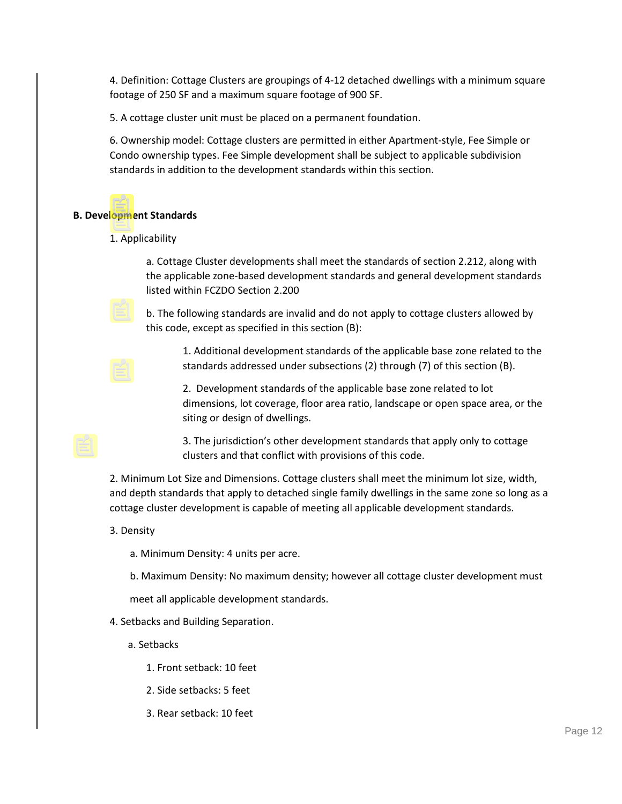4. Definition: Cottage Clusters are groupings of 4-12 detached dwellings with a minimum square footage of 250 SF and a maximum square footage of 900 SF.

5. A cottage cluster unit must be placed on a permanent foundation.

6. Ownership model: Cottage clusters are permitted in either Apartment-style, Fee Simple or Condo ownership types. Fee Simple development shall be subject to applicable subdivision standards in addition to the development standards within this section.

#### **B. Development Standards**

1. Applicability

a. Cottage Cluster developments shall meet the standards of section 2.212, along with the applicable zone-based development standards and general development standards listed within FCZDO Section 2.200

b. The following standards are invalid and do not apply to cottage clusters allowed by this code, except as specified in this section (B):

1. Additional development standards of the applicable base zone related to the standards addressed under subsections (2) through (7) of this section (B).

2. Development standards of the applicable base zone related to lot dimensions, lot coverage, floor area ratio, landscape or open space area, or the siting or design of dwellings.

3. The jurisdiction's other development standards that apply only to cottage clusters and that conflict with provisions of this code.

2. Minimum Lot Size and Dimensions. Cottage clusters shall meet the minimum lot size, width, and depth standards that apply to detached single family dwellings in the same zone so long as a cottage cluster development is capable of meeting all applicable development standards.

# 3. Density

a. Minimum Density: 4 units per acre.

b. Maximum Density: No maximum density; however all cottage cluster development must

meet all applicable development standards.

4. Setbacks and Building Separation.

- a. Setbacks
	- 1. Front setback: 10 feet
	- 2. Side setbacks: 5 feet
	- 3. Rear setback: 10 feet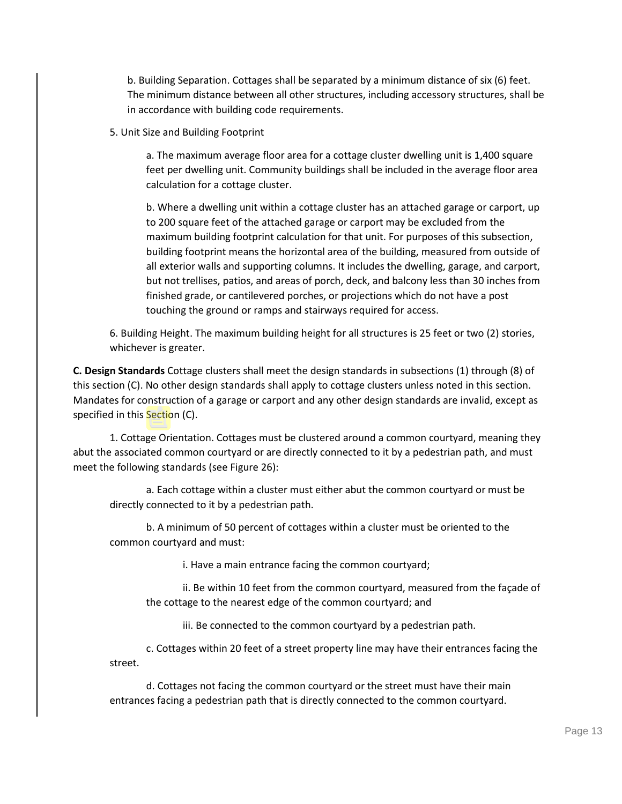b. Building Separation. Cottages shall be separated by a minimum distance of six (6) feet. The minimum distance between all other structures, including accessory structures, shall be in accordance with building code requirements.

5. Unit Size and Building Footprint

a. The maximum average floor area for a cottage cluster dwelling unit is 1,400 square feet per dwelling unit. Community buildings shall be included in the average floor area calculation for a cottage cluster.

b. Where a dwelling unit within a cottage cluster has an attached garage or carport, up to 200 square feet of the attached garage or carport may be excluded from the maximum building footprint calculation for that unit. For purposes of this subsection, building footprint means the horizontal area of the building, measured from outside of all exterior walls and supporting columns. It includes the dwelling, garage, and carport, but not trellises, patios, and areas of porch, deck, and balcony less than 30 inches from finished grade, or cantilevered porches, or projections which do not have a post touching the ground or ramps and stairways required for access.

6. Building Height. The maximum building height for all structures is 25 feet or two (2) stories, whichever is greater.

**C. Design Standards** Cottage clusters shall meet the design standards in subsections (1) through (8) of this section (C). No other design standards shall apply to cottage clusters unless noted in this section. Mandates for construction of a garage or carport and any other design standards are invalid, except as specified in this Section (C).

1. Cottage Orientation. Cottages must be clustered around a common courtyard, meaning they abut the associated common courtyard or are directly connected to it by a pedestrian path, and must meet the following standards (see Figure 26):

a. Each cottage within a cluster must either abut the common courtyard or must be directly connected to it by a pedestrian path.

b. A minimum of 50 percent of cottages within a cluster must be oriented to the common courtyard and must:

i. Have a main entrance facing the common courtyard;

ii. Be within 10 feet from the common courtyard, measured from the façade of the cottage to the nearest edge of the common courtyard; and

iii. Be connected to the common courtyard by a pedestrian path.

c. Cottages within 20 feet of a street property line may have their entrances facing the street.

d. Cottages not facing the common courtyard or the street must have their main entrances facing a pedestrian path that is directly connected to the common courtyard.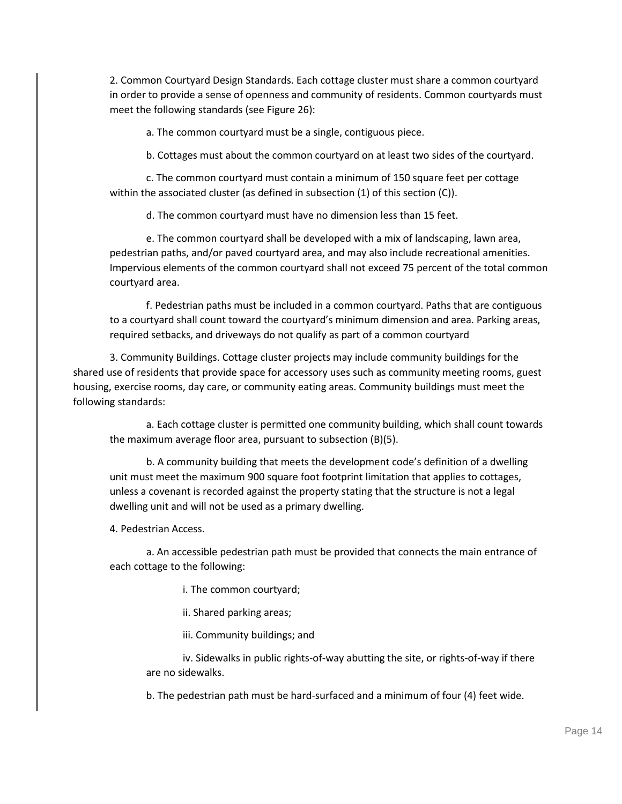2. Common Courtyard Design Standards. Each cottage cluster must share a common courtyard in order to provide a sense of openness and community of residents. Common courtyards must meet the following standards (see Figure 26):

a. The common courtyard must be a single, contiguous piece.

b. Cottages must about the common courtyard on at least two sides of the courtyard.

c. The common courtyard must contain a minimum of 150 square feet per cottage within the associated cluster (as defined in subsection (1) of this section (C)).

d. The common courtyard must have no dimension less than 15 feet.

e. The common courtyard shall be developed with a mix of landscaping, lawn area, pedestrian paths, and/or paved courtyard area, and may also include recreational amenities. Impervious elements of the common courtyard shall not exceed 75 percent of the total common courtyard area.

f. Pedestrian paths must be included in a common courtyard. Paths that are contiguous to a courtyard shall count toward the courtyard's minimum dimension and area. Parking areas, required setbacks, and driveways do not qualify as part of a common courtyard

3. Community Buildings. Cottage cluster projects may include community buildings for the shared use of residents that provide space for accessory uses such as community meeting rooms, guest housing, exercise rooms, day care, or community eating areas. Community buildings must meet the following standards:

a. Each cottage cluster is permitted one community building, which shall count towards the maximum average floor area, pursuant to subsection (B)(5).

b. A community building that meets the development code's definition of a dwelling unit must meet the maximum 900 square foot footprint limitation that applies to cottages, unless a covenant is recorded against the property stating that the structure is not a legal dwelling unit and will not be used as a primary dwelling.

4. Pedestrian Access.

a. An accessible pedestrian path must be provided that connects the main entrance of each cottage to the following:

i. The common courtyard;

ii. Shared parking areas;

iii. Community buildings; and

iv. Sidewalks in public rights-of-way abutting the site, or rights-of-way if there are no sidewalks.

b. The pedestrian path must be hard-surfaced and a minimum of four (4) feet wide.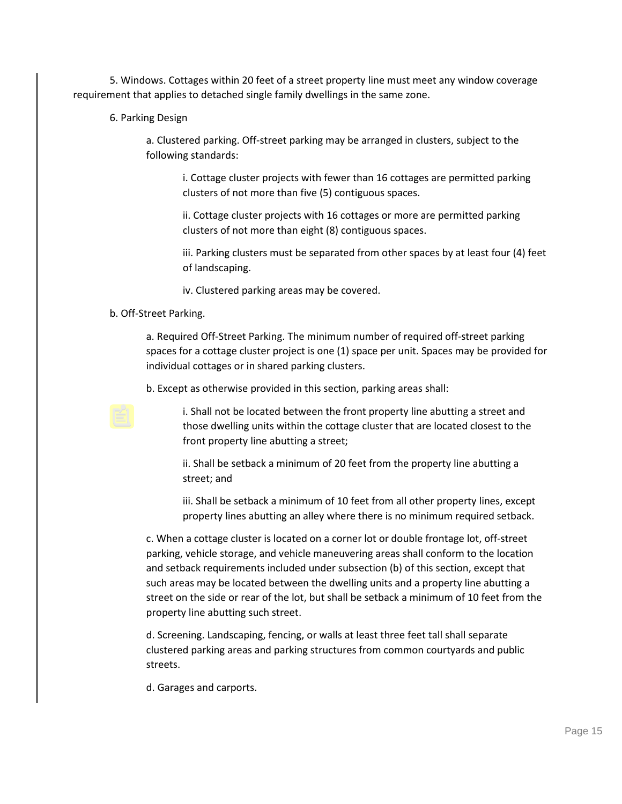5. Windows. Cottages within 20 feet of a street property line must meet any window coverage requirement that applies to detached single family dwellings in the same zone.

6. Parking Design

a. Clustered parking. Off-street parking may be arranged in clusters, subject to the following standards:

i. Cottage cluster projects with fewer than 16 cottages are permitted parking clusters of not more than five (5) contiguous spaces.

ii. Cottage cluster projects with 16 cottages or more are permitted parking clusters of not more than eight (8) contiguous spaces.

iii. Parking clusters must be separated from other spaces by at least four (4) feet of landscaping.

iv. Clustered parking areas may be covered.

# b. Off-Street Parking.

a. Required Off-Street Parking. The minimum number of required off-street parking spaces for a cottage cluster project is one (1) space per unit. Spaces may be provided for individual cottages or in shared parking clusters.

b. Except as otherwise provided in this section, parking areas shall:

i. Shall not be located between the front property line abutting a street and those dwelling units within the cottage cluster that are located closest to the front property line abutting a street;

ii. Shall be setback a minimum of 20 feet from the property line abutting a street; and

iii. Shall be setback a minimum of 10 feet from all other property lines, except property lines abutting an alley where there is no minimum required setback.

c. When a cottage cluster is located on a corner lot or double frontage lot, off-street parking, vehicle storage, and vehicle maneuvering areas shall conform to the location and setback requirements included under subsection (b) of this section, except that such areas may be located between the dwelling units and a property line abutting a street on the side or rear of the lot, but shall be setback a minimum of 10 feet from the property line abutting such street.

d. Screening. Landscaping, fencing, or walls at least three feet tall shall separate clustered parking areas and parking structures from common courtyards and public streets.

d. Garages and carports.